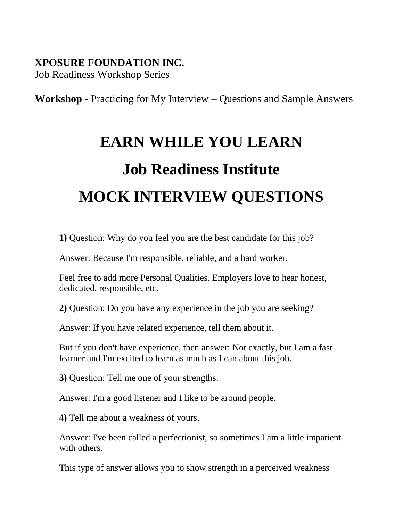#### **XPOSURE FOUNDATION INC.**

Job Readiness Workshop Series

**Workshop -** Practicing for My Interview – Questions and Sample Answers

### **EARN WHILE YOU LEARN**

# **Job Readiness Institute MOCK INTERVIEW QUESTIONS**

**1)** Question: Why do you feel you are the best candidate for this job?

Answer: Because I'm responsible, reliable, and a hard worker.

Feel free to add more Personal Qualities. Employers love to hear honest, dedicated, responsible, etc.

**2)** Question: Do you have any experience in the job you are seeking?

Answer: If you have related experience, tell them about it.

But if you don't have experience, then answer: Not exactly, but I am a fast learner and I'm excited to learn as much as I can about this job.

**3)** Question: Tell me one of your strengths.

Answer: I'm a good listener and I like to be around people.

**4)** Tell me about a weakness of yours.

Answer: I've been called a perfectionist, so sometimes I am a little impatient with others.

This type of answer allows you to show strength in a perceived weakness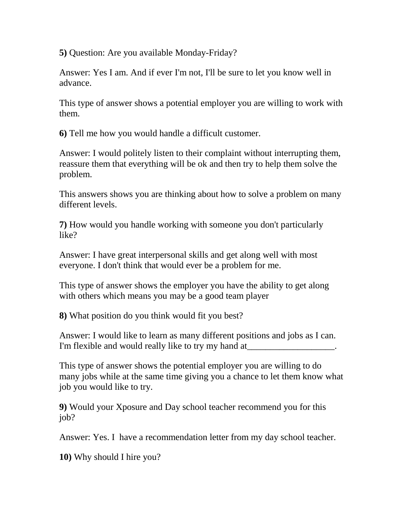**5)** Question: Are you available Monday-Friday?

Answer: Yes I am. And if ever I'm not, I'll be sure to let you know well in advance.

This type of answer shows a potential employer you are willing to work with them.

**6)** Tell me how you would handle a difficult customer.

Answer: I would politely listen to their complaint without interrupting them, reassure them that everything will be ok and then try to help them solve the problem.

This answers shows you are thinking about how to solve a problem on many different levels.

**7)** How would you handle working with someone you don't particularly like?

Answer: I have great interpersonal skills and get along well with most everyone. I don't think that would ever be a problem for me.

This type of answer shows the employer you have the ability to get along with others which means you may be a good team player

**8)** What position do you think would fit you best?

Answer: I would like to learn as many different positions and jobs as I can. I'm flexible and would really like to try my hand at

This type of answer shows the potential employer you are willing to do many jobs while at the same time giving you a chance to let them know what job you would like to try.

**9)** Would your Xposure and Day school teacher recommend you for this job?

Answer: Yes. I have a recommendation letter from my day school teacher.

**10)** Why should I hire you?